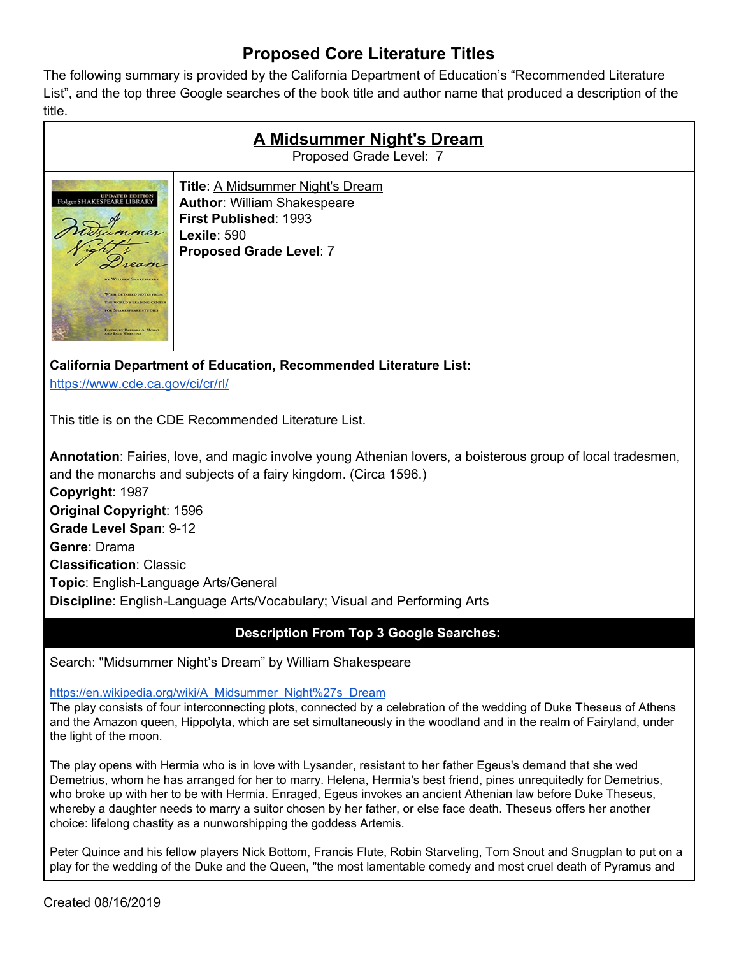## **Proposed Core Literature Titles**

The following summary is provided by the California Department of Education's "Recommended Literature List", and the top three Google searches of the book title and author name that produced a description of the title.

| <b>A Midsummer Night's Dream</b><br>Proposed Grade Level: 7                                                                                                                                                                                                |                                                                                                                                                                |
|------------------------------------------------------------------------------------------------------------------------------------------------------------------------------------------------------------------------------------------------------------|----------------------------------------------------------------------------------------------------------------------------------------------------------------|
| <b>UPDATED EDITION</b><br>Folger SHAKESPEARE LIBRARY<br>imer<br>eam<br>BY WILLIAM SHAKESPEARE<br>WITH DETAILED NOTES FROM<br>THE WORLD'S LEADING CENTER<br><b>FOR SHAKESPEARE STUDIES</b><br><b>EDITED BY BARBARA A. MOWAT</b><br><b>AND PAUL WERSTINE</b> | <b>Title: A Midsummer Night's Dream</b><br><b>Author: William Shakespeare</b><br>First Published: 1993<br><b>Lexile: 590</b><br><b>Proposed Grade Level: 7</b> |

**California Department of Education, Recommended Literature List:**

<https://www.cde.ca.gov/ci/cr/rl/>

This title is on the CDE Recommended Literature List.

**Annotation**: Fairies, love, and magic involve young Athenian lovers, a boisterous group of local tradesmen, and the monarchs and subjects of a fairy kingdom. (Circa 1596.) **Copyright**: 1987 **Original Copyright**: 1596 **Grade Level Span**: 9-12 **Genre**: Drama **Classification**: Classic **Topic**: English-Language Arts/General **Discipline**: English-Language Arts/Vocabulary; Visual and Performing Arts

## **Description From Top 3 Google Searches:**

Search: "Midsummer Night's Dream" by William Shakespeare

[https://en.wikipedia.org/wiki/A\\_Midsummer\\_Night%27s\\_Dream](https://en.wikipedia.org/wiki/A_Midsummer_Night%27s_Dream)

The play consists of four interconnecting plots, connected by a celebration of the wedding of Duke Theseus of Athens and the Amazon queen, Hippolyta, which are set simultaneously in the woodland and in the realm of Fairyland, under the light of the moon.

The play opens with Hermia who is in love with Lysander, resistant to her father Egeus's demand that she wed Demetrius, whom he has arranged for her to marry. Helena, Hermia's best friend, pines unrequitedly for Demetrius, who broke up with her to be with Hermia. Enraged, Egeus invokes an ancient Athenian law before Duke Theseus, whereby a daughter needs to marry a suitor chosen by her father, or else face death. Theseus offers her another choice: lifelong chastity as a nunworshipping the goddess Artemis.

Peter Quince and his fellow players Nick Bottom, Francis Flute, Robin Starveling, Tom Snout and Snugplan to put on a play for the wedding of the Duke and the Queen, "the most lamentable comedy and most cruel death of Pyramus and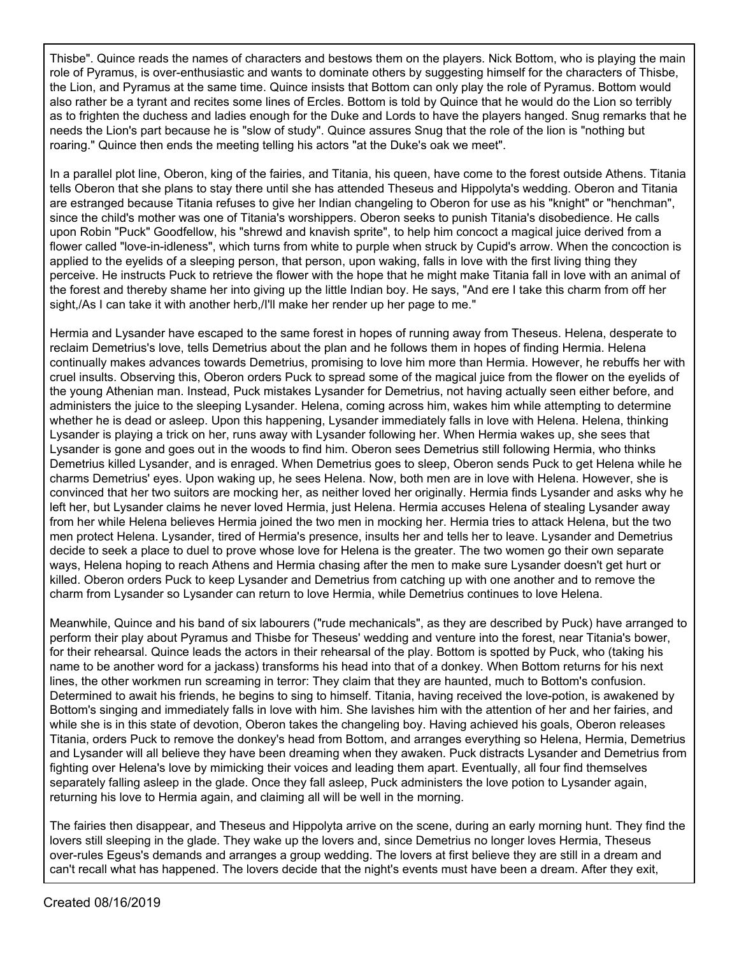Thisbe". Quince reads the names of characters and bestows them on the players. Nick Bottom, who is playing the main role of Pyramus, is over-enthusiastic and wants to dominate others by suggesting himself for the characters of Thisbe, the Lion, and Pyramus at the same time. Quince insists that Bottom can only play the role of Pyramus. Bottom would also rather be a tyrant and recites some lines of Ercles. Bottom is told by Quince that he would do the Lion so terribly as to frighten the duchess and ladies enough for the Duke and Lords to have the players hanged. Snug remarks that he needs the Lion's part because he is "slow of study". Quince assures Snug that the role of the lion is "nothing but roaring." Quince then ends the meeting telling his actors "at the Duke's oak we meet".

In a parallel plot line, Oberon, king of the fairies, and Titania, his queen, have come to the forest outside Athens. Titania tells Oberon that she plans to stay there until she has attended Theseus and Hippolyta's wedding. Oberon and Titania are estranged because Titania refuses to give her Indian changeling to Oberon for use as his "knight" or "henchman", since the child's mother was one of Titania's worshippers. Oberon seeks to punish Titania's disobedience. He calls upon Robin "Puck" Goodfellow, his "shrewd and knavish sprite", to help him concoct a magical juice derived from a flower called "love-in-idleness", which turns from white to purple when struck by Cupid's arrow. When the concoction is applied to the eyelids of a sleeping person, that person, upon waking, falls in love with the first living thing they perceive. He instructs Puck to retrieve the flower with the hope that he might make Titania fall in love with an animal of the forest and thereby shame her into giving up the little Indian boy. He says, "And ere I take this charm from off her sight,/As I can take it with another herb,/I'll make her render up her page to me."

Hermia and Lysander have escaped to the same forest in hopes of running away from Theseus. Helena, desperate to reclaim Demetrius's love, tells Demetrius about the plan and he follows them in hopes of finding Hermia. Helena continually makes advances towards Demetrius, promising to love him more than Hermia. However, he rebuffs her with cruel insults. Observing this, Oberon orders Puck to spread some of the magical juice from the flower on the eyelids of the young Athenian man. Instead, Puck mistakes Lysander for Demetrius, not having actually seen either before, and administers the juice to the sleeping Lysander. Helena, coming across him, wakes him while attempting to determine whether he is dead or asleep. Upon this happening, Lysander immediately falls in love with Helena. Helena, thinking Lysander is playing a trick on her, runs away with Lysander following her. When Hermia wakes up, she sees that Lysander is gone and goes out in the woods to find him. Oberon sees Demetrius still following Hermia, who thinks Demetrius killed Lysander, and is enraged. When Demetrius goes to sleep, Oberon sends Puck to get Helena while he charms Demetrius' eyes. Upon waking up, he sees Helena. Now, both men are in love with Helena. However, she is convinced that her two suitors are mocking her, as neither loved her originally. Hermia finds Lysander and asks why he left her, but Lysander claims he never loved Hermia, just Helena. Hermia accuses Helena of stealing Lysander away from her while Helena believes Hermia joined the two men in mocking her. Hermia tries to attack Helena, but the two men protect Helena. Lysander, tired of Hermia's presence, insults her and tells her to leave. Lysander and Demetrius decide to seek a place to duel to prove whose love for Helena is the greater. The two women go their own separate ways, Helena hoping to reach Athens and Hermia chasing after the men to make sure Lysander doesn't get hurt or killed. Oberon orders Puck to keep Lysander and Demetrius from catching up with one another and to remove the charm from Lysander so Lysander can return to love Hermia, while Demetrius continues to love Helena.

Meanwhile, Quince and his band of six labourers ("rude mechanicals", as they are described by Puck) have arranged to perform their play about Pyramus and Thisbe for Theseus' wedding and venture into the forest, near Titania's bower, for their rehearsal. Quince leads the actors in their rehearsal of the play. Bottom is spotted by Puck, who (taking his name to be another word for a jackass) transforms his head into that of a donkey. When Bottom returns for his next lines, the other workmen run screaming in terror: They claim that they are haunted, much to Bottom's confusion. Determined to await his friends, he begins to sing to himself. Titania, having received the love-potion, is awakened by Bottom's singing and immediately falls in love with him. She lavishes him with the attention of her and her fairies, and while she is in this state of devotion, Oberon takes the changeling boy. Having achieved his goals, Oberon releases Titania, orders Puck to remove the donkey's head from Bottom, and arranges everything so Helena, Hermia, Demetrius and Lysander will all believe they have been dreaming when they awaken. Puck distracts Lysander and Demetrius from fighting over Helena's love by mimicking their voices and leading them apart. Eventually, all four find themselves separately falling asleep in the glade. Once they fall asleep, Puck administers the love potion to Lysander again, returning his love to Hermia again, and claiming all will be well in the morning.

The fairies then disappear, and Theseus and Hippolyta arrive on the scene, during an early morning hunt. They find the lovers still sleeping in the glade. They wake up the lovers and, since Demetrius no longer loves Hermia, Theseus over-rules Egeus's demands and arranges a group wedding. The lovers at first believe they are still in a dream and can't recall what has happened. The lovers decide that the night's events must have been a dream. After they exit,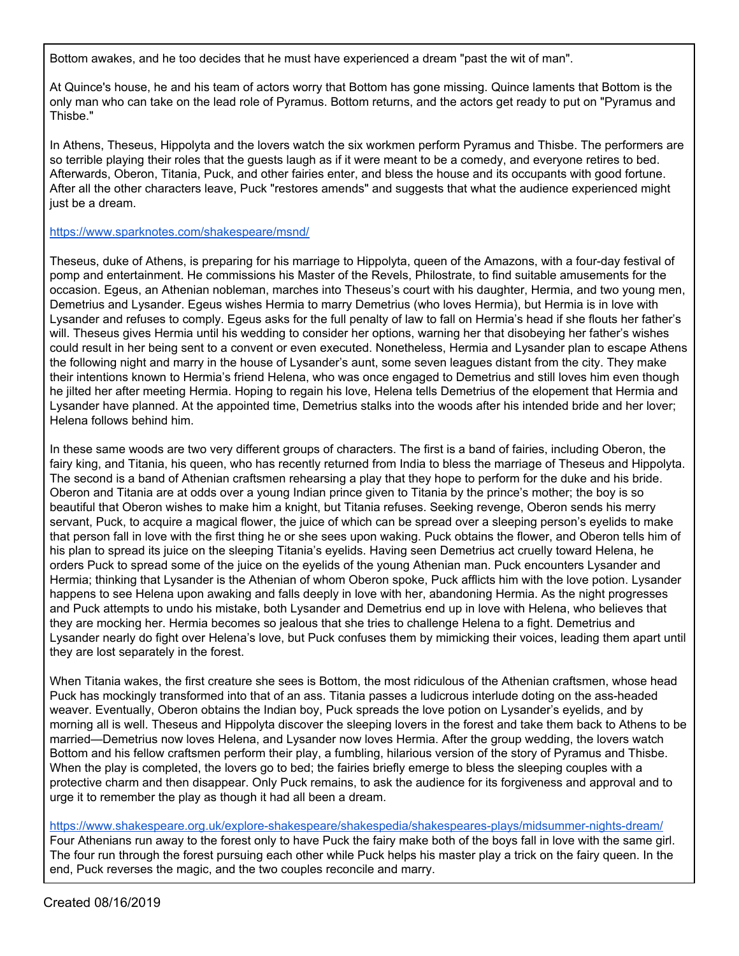Bottom awakes, and he too decides that he must have experienced a dream "past the wit of man".

At Quince's house, he and his team of actors worry that Bottom has gone missing. Quince laments that Bottom is the only man who can take on the lead role of Pyramus. Bottom returns, and the actors get ready to put on "Pyramus and Thisbe."

In Athens, Theseus, Hippolyta and the lovers watch the six workmen perform Pyramus and Thisbe. The performers are so terrible playing their roles that the guests laugh as if it were meant to be a comedy, and everyone retires to bed. Afterwards, Oberon, Titania, Puck, and other fairies enter, and bless the house and its occupants with good fortune. After all the other characters leave, Puck "restores amends" and suggests that what the audience experienced might just be a dream.

## <https://www.sparknotes.com/shakespeare/msnd/>

Theseus, duke of Athens, is preparing for his marriage to Hippolyta, queen of the Amazons, with a four-day festival of pomp and entertainment. He commissions his Master of the Revels, Philostrate, to find suitable amusements for the occasion. Egeus, an Athenian nobleman, marches into Theseus's court with his daughter, Hermia, and two young men, Demetrius and Lysander. Egeus wishes Hermia to marry Demetrius (who loves Hermia), but Hermia is in love with Lysander and refuses to comply. Egeus asks for the full penalty of law to fall on Hermia's head if she flouts her father's will. Theseus gives Hermia until his wedding to consider her options, warning her that disobeying her father's wishes could result in her being sent to a convent or even executed. Nonetheless, Hermia and Lysander plan to escape Athens the following night and marry in the house of Lysander's aunt, some seven leagues distant from the city. They make their intentions known to Hermia's friend Helena, who was once engaged to Demetrius and still loves him even though he jilted her after meeting Hermia. Hoping to regain his love, Helena tells Demetrius of the elopement that Hermia and Lysander have planned. At the appointed time, Demetrius stalks into the woods after his intended bride and her lover; Helena follows behind him.

In these same woods are two very different groups of characters. The first is a band of fairies, including Oberon, the fairy king, and Titania, his queen, who has recently returned from India to bless the marriage of Theseus and Hippolyta. The second is a band of Athenian craftsmen rehearsing a play that they hope to perform for the duke and his bride. Oberon and Titania are at odds over a young Indian prince given to Titania by the prince's mother; the boy is so beautiful that Oberon wishes to make him a knight, but Titania refuses. Seeking revenge, Oberon sends his merry servant, Puck, to acquire a magical flower, the juice of which can be spread over a sleeping person's eyelids to make that person fall in love with the first thing he or she sees upon waking. Puck obtains the flower, and Oberon tells him of his plan to spread its juice on the sleeping Titania's eyelids. Having seen Demetrius act cruelly toward Helena, he orders Puck to spread some of the juice on the eyelids of the young Athenian man. Puck encounters Lysander and Hermia; thinking that Lysander is the Athenian of whom Oberon spoke, Puck afflicts him with the love potion. Lysander happens to see Helena upon awaking and falls deeply in love with her, abandoning Hermia. As the night progresses and Puck attempts to undo his mistake, both Lysander and Demetrius end up in love with Helena, who believes that they are mocking her. Hermia becomes so jealous that she tries to challenge Helena to a fight. Demetrius and Lysander nearly do fight over Helena's love, but Puck confuses them by mimicking their voices, leading them apart until they are lost separately in the forest.

When Titania wakes, the first creature she sees is Bottom, the most ridiculous of the Athenian craftsmen, whose head Puck has mockingly transformed into that of an ass. Titania passes a ludicrous interlude doting on the ass-headed weaver. Eventually, Oberon obtains the Indian boy, Puck spreads the love potion on Lysander's eyelids, and by morning all is well. Theseus and Hippolyta discover the sleeping lovers in the forest and take them back to Athens to be married—Demetrius now loves Helena, and Lysander now loves Hermia. After the group wedding, the lovers watch Bottom and his fellow craftsmen perform their play, a fumbling, hilarious version of the story of Pyramus and Thisbe. When the play is completed, the lovers go to bed; the fairies briefly emerge to bless the sleeping couples with a protective charm and then disappear. Only Puck remains, to ask the audience for its forgiveness and approval and to urge it to remember the play as though it had all been a dream.

<https://www.shakespeare.org.uk/explore-shakespeare/shakespedia/shakespeares-plays/midsummer-nights-dream/> Four Athenians run away to the forest only to have Puck the fairy make both of the boys fall in love with the same girl. The four run through the forest pursuing each other while Puck helps his master play a trick on the fairy queen. In the end, Puck reverses the magic, and the two couples reconcile and marry.